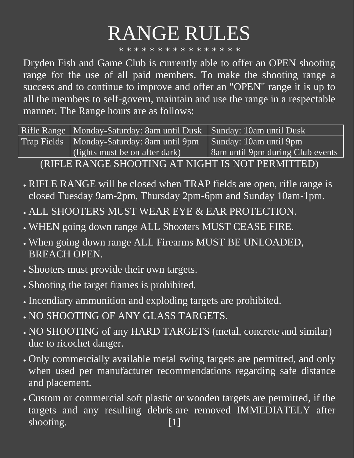## RANGE RULES

\* \* \* \* \* \* \* \* \* \* \* \* \* \* \* \*

Dryden Fish and Game Club is currently able to offer an OPEN shooting range for the use of all paid members. To make the shooting range a success and to continue to improve and offer an "OPEN" range it is up to all the members to self-govern, maintain and use the range in a respectable manner. The Range hours are as follows:

Rifle Range | Monday-Saturday: 8am until Dusk | Sunday: 10am until Dusk Trap Fields | Monday-Saturday: 8am until 9pm (lights must be on after dark) Sunday: 10am until 9pm 8am until 9pm during Club events (RIFLE RANGE SHOOTING AT NIGHT IS NOT PERMITTED)

- RIFLE RANGE will be closed when TRAP fields are open, rifle range is closed Tuesday 9am-2pm, Thursday 2pm-6pm and Sunday 10am-1pm.
- ALL SHOOTERS MUST WEAR EYE & EAR PROTECTION.
- WHEN going down range ALL Shooters MUST CEASE FIRE.
- When going down range ALL Firearms MUST BE UNLOADED, BREACH OPEN.
- Shooters must provide their own targets.
- Shooting the target frames is prohibited.
- Incendiary ammunition and exploding targets are prohibited.
- NO SHOOTING OF ANY GLASS TARGETS.
- NO SHOOTING of any HARD TARGETS (metal, concrete and similar) due to ricochet danger.
- Only commercially available metal swing targets are permitted, and only when used per manufacturer recommendations regarding safe distance and placement.
- Custom or commercial soft plastic or wooden targets are permitted, if the targets and any resulting debris are removed IMMEDIATELY after shooting. [1]